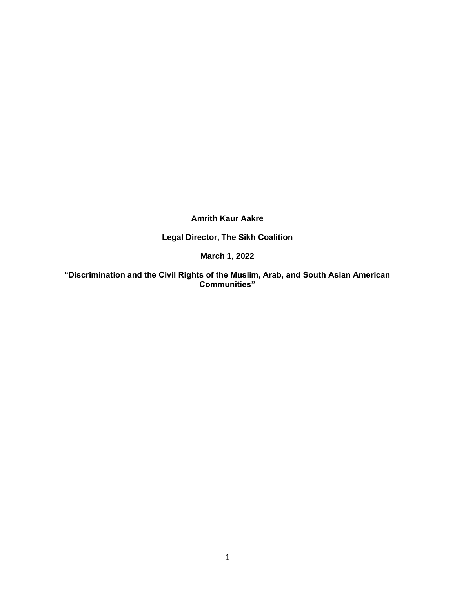**Amrith Kaur Aakre**

**Legal Director, The Sikh Coalition**

**March 1, 2022**

**"Discrimination and the Civil Rights of the Muslim, Arab, and South Asian American Communities"**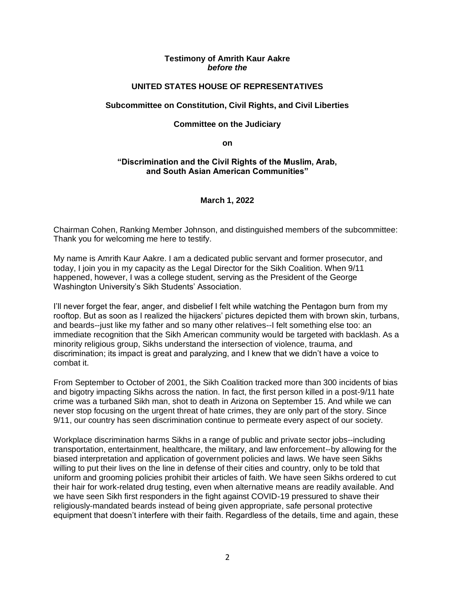## **Testimony of Amrith Kaur Aakre** *before the*

# **UNITED STATES HOUSE OF REPRESENTATIVES**

#### **Subcommittee on Constitution, Civil Rights, and Civil Liberties**

#### **Committee on the Judiciary**

**on**

#### **"Discrimination and the Civil Rights of the Muslim, Arab, and South Asian American Communities"**

## **March 1, 2022**

Chairman Cohen, Ranking Member Johnson, and distinguished members of the subcommittee: Thank you for welcoming me here to testify.

My name is Amrith Kaur Aakre. I am a dedicated public servant and former prosecutor, and today, I join you in my capacity as the Legal Director for the Sikh Coalition. When 9/11 happened, however, I was a college student, serving as the President of the George Washington University's Sikh Students' Association.

I'll never forget the fear, anger, and disbelief I felt while watching the Pentagon burn from my rooftop. But as soon as I realized the hijackers' pictures depicted them with brown skin, turbans, and beards--just like my father and so many other relatives--I felt something else too: an immediate recognition that the Sikh American community would be targeted with backlash. As a minority religious group, Sikhs understand the intersection of violence, trauma, and discrimination; its impact is great and paralyzing, and I knew that we didn't have a voice to combat it.

From September to October of 2001, the Sikh Coalition tracked more than 300 incidents of bias and bigotry impacting Sikhs across the nation. In fact, the first person killed in a post-9/11 hate crime was a turbaned Sikh man, shot to death in Arizona on September 15. And while we can never stop focusing on the urgent threat of hate crimes, they are only part of the story. Since 9/11, our country has seen discrimination continue to permeate every aspect of our society.

Workplace discrimination harms Sikhs in a range of public and private sector jobs--including transportation, entertainment, healthcare, the military, and law enforcement--by allowing for the biased interpretation and application of government policies and laws. We have seen Sikhs willing to put their lives on the line in defense of their cities and country, only to be told that uniform and grooming policies prohibit their articles of faith. We have seen Sikhs ordered to cut their hair for work-related drug testing, even when alternative means are readily available. And we have seen Sikh first responders in the fight against COVID-19 pressured to shave their religiously-mandated beards instead of being given appropriate, safe personal protective equipment that doesn't interfere with their faith. Regardless of the details, time and again, these